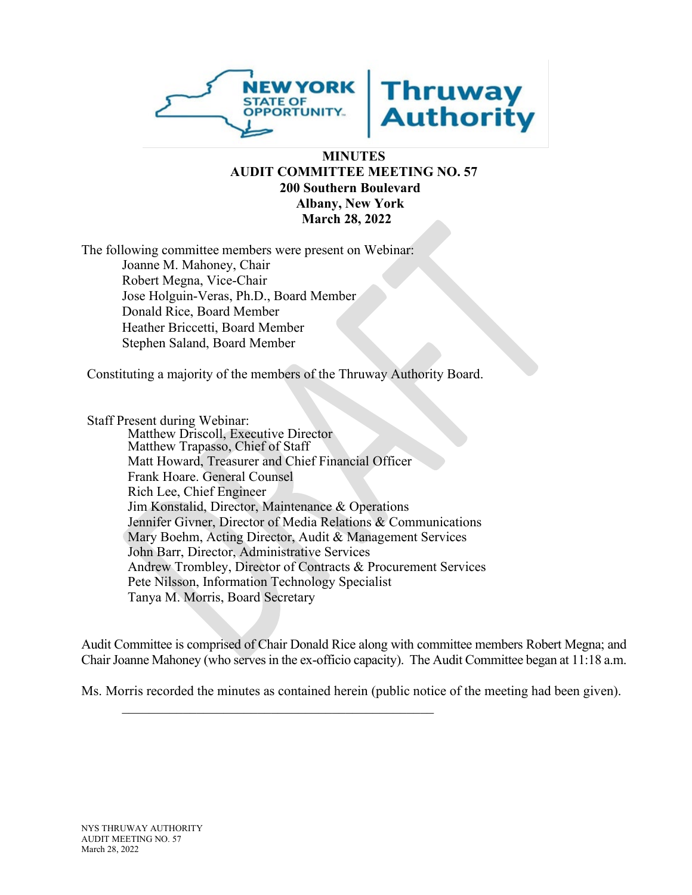

## **MINUTES AUDIT COMMITTEE MEETING NO. 57 200 Southern Boulevard Albany, New York March 28, 2022**

The following committee members were present on Webinar: Joanne M. Mahoney, Chair Robert Megna, Vice-Chair Jose Holguin-Veras, Ph.D., Board Member Donald Rice, Board Member Heather Briccetti, Board Member Stephen Saland, Board Member

Constituting a majority of the members of the Thruway Authority Board.

Staff Present during Webinar: Matthew Driscoll, Executive Director Matthew Trapasso, Chief of Staff Matt Howard, Treasurer and Chief Financial Officer Frank Hoare. General Counsel Rich Lee, Chief Engineer Jim Konstalid, Director, Maintenance & Operations Jennifer Givner, Director of Media Relations & Communications Mary Boehm, Acting Director, Audit & Management Services John Barr, Director, Administrative Services Andrew Trombley, Director of Contracts & Procurement Services Pete Nilsson, Information Technology Specialist Tanya M. Morris, Board Secretary

 $\mathcal{L}_\mathcal{L}$ 

Audit Committee is comprised of Chair Donald Rice along with committee members Robert Megna; and Chair Joanne Mahoney (who serves in the ex-officio capacity). The Audit Committee began at 11:18 a.m.

Ms. Morris recorded the minutes as contained herein (public notice of the meeting had been given).